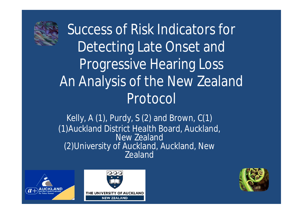

Success of Risk Indicators for Detecting Late Onset and Progressive Hearing Loss An Analysis of the New Zealand Protocol

Kelly, A  $(1)$ , Purdy, S  $(2)$  and Brown,  $C(1)$ (1)Auckland District Health Board, Auckland, New Zealand (2)University of Auckland, Auckland, New Zealand





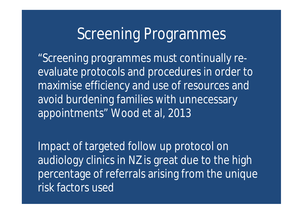## Screening Programmes

"Screening programmes must continually reevaluate protocols and procedures in order to maximise efficiency and use of resources and avoid burdening families with unnecessary appointments" Wood et al, 2013

Impact of targeted follow up protocol on audiology clinics in NZ is great due to the high percentage of referrals arising from the unique risk factors used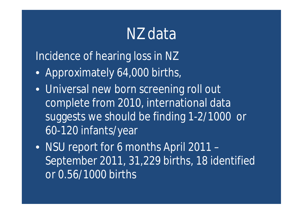## NZ data

Incidence of hearing loss in NZ

- Approximately 64,000 births,
- Universal new born screening roll out complete from 2010, international data suggests we should be finding 1-2/1000 or 60-120 infants/year
- NSU report for 6 months April 2011 -September 2011, 31,229 births, 18 identified or 0.56/1000 births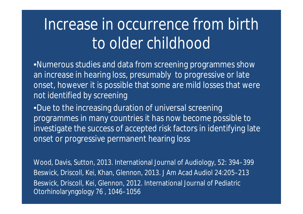# Increase in occurrence from birth to older childhood

•Numerous studies and data from screening programmes show an increase in hearing loss, presumably to progressive or late onset, however it is possible that some are mild losses that were not identified by screening

•Due to the increasing duration of universal screening programmes in many countries it has now become possible to investigate the success of accepted risk factors in identifying late onset or progressive permanent hearing loss

Wood, Davis, Sutton, 2013. International Journal of Audiology, 52: 394–399 Beswick, Driscoll, Kei, Khan, Glennon, 2013. J Am Acad Audiol 24:205–213 Beswick, Driscoll, Kei, Glennon, 2012. International Journal of Pediatric Otorhinolaryngology 76 , 1046–1056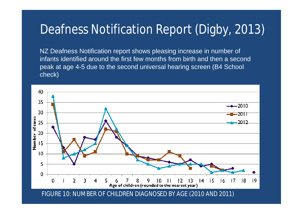#### Deafness Notification Report (Digby, 2013)

NZ Deafness Notification report shows pleasing increase in number of infants identified around the first few months from birth and then a second peak at age 4-5 due to the second universal hearing screen (B4 School check)

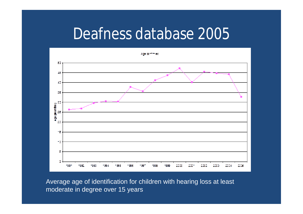### Deafness database 2005



Average age of identification for children with hearing loss at least moderate in degree over 15 years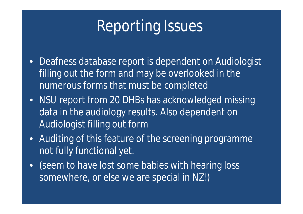# Reporting Issues

- Deafness database report is dependent on Audiologist filling out the form and may be overlooked in the numerous forms that must be completed
- NSU report from 20 DHBs has acknowledged missing data in the audiology results. Also dependent on Audiologist filling out form
- Auditing of this feature of the screening programme not fully functional yet.
- (seem to have lost some babies with hearing loss somewhere, or else we are special in NZ!)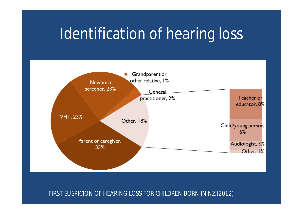## Identification of hearing loss



FIRST SUSPICION OF HEARING LOSS FOR CHILDREN BORN IN NZ (2012)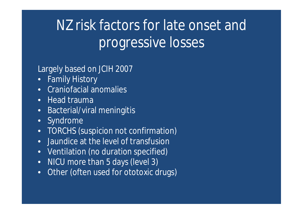# NZ risk factors for late onset and progressive losses

Largely based on JCIH 2007

- Family History
- Craniofacial anomalies
- Head trauma
- Bacterial/viral meningitis
- Syndrome
- TORCHS (suspicion not confirmation)
- Jaundice at the level of transfusion
- Ventilation (no duration specified)
- NICU more than 5 days (level 3)
- Other (often used for ototoxic drugs)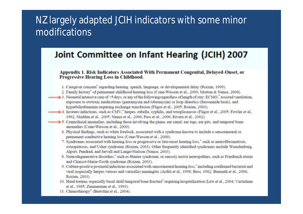#### NZ largely adapted JCIH indicators with some minor modifications

#### Joint Committee on Infant Hearing (JCIH) 2007

Appendix 1. Risk Indicators Associated With Permanent Congenital, Delayed-Onset, or **Progressive Hearing Loss in Childhood.** 

- 1. Caregiver concern' regarding hearing, speech, language, or developmental delay (Roizen, 1999).
- 2. Family history' of permanent childhood hearing loss (Cone-Wesson et al., 2000; Morton & Nance, 2006).
- 3. Neonatal intensive care of >5 days, or any of the following regardless of length of stay: ECMO," assisted ventilation. exposure to ototoxic medications (gentamycin and tobramycin) or loop diuretics (furosemide/lasix), and hyperbilirubinemia requiring exchange transfusion (Fligor et al., 2005; Roizen, 2003).
- 4. In-utero infections, such as CMV,' herpes, rubella, syphilis, and toxoplasmosis (Fligor et al., 2005; Fowler et al., 1992; Madden et al., 2005; Nance et al., 2006; Pass et al., 2006; Rivera et al., 2002).
- 5. Craniofacial anomalies, including those involving the pinna, ear canal, ear tags, ear pits, and temporal bone anomalies (Cone-Wesson et al., 2000).
	- 6. Physical findings, such as white forelock, associated with a syndrome known to include a sensorineural or permanent conductive hearing loss (Cone-Wesson et al., 2000).
	- 7. Syndromes associated with hearing loss or progressive or late-onset hearing loss," such as neurofibromatosis, osteopetrosis, and Usher syndrome (Roizen, 2003). Other frequently identified syndromes include Waardenburg, Alport, Pendred, and Jervell and Lange-Nielson (Nance, 2003).
	- 8. Neurodegenerative disorders," such as Hunter syndrome, or sensory motor neuropathies, such as Friedreich ataxia and Charcot-Marie-Tooth syndrome (Roizen, 2003).
	- 9. Culture-positive postnatal infections associated with sensorineural hearing loss," including confirmed bacterial and viral (especially herpes viruses and varicella) meningitis (Arditi et al., 1998; Bess, 1982; Biernath et al., 2006; Roizen, 2003).
- 10. Head trauma, especially basal skull/temporal bone fracture' requiring hospitalization (Lew et al., 2004; Vartialnen et al., 1985; Zimmerman et al., 1993).
- 11. Chemotherapy" (Bertolini et al., 2004).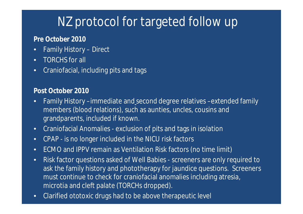#### NZ protocol for targeted follow up

#### **Pre October 2010**

- Family History Direct
- TORCHS for all
- Craniofacial, including pits and tags

#### **Post October 2010**

- Family History –immediate and second degree relatives –extended family members (blood relations), such as aunties, uncles, cousins and grandparents, included if known.
- Craniofacial Anomalies exclusion of pits and tags in isolation
- CPAP is no longer included in the NICU risk factors
- ECMO and IPPV remain as Ventilation Risk factors (no time limit)
- Risk factor questions asked of Well Babies screeners are only required to ask the family history and phototherapy for jaundice questions. Screeners must continue to check for craniofacial anomalies including atresia, microtia and cleft palate (TORCHs dropped).
- Clarified ototoxic drugs had to be above therapeutic level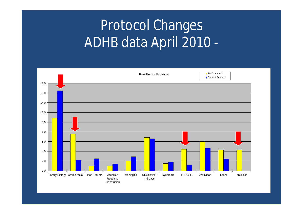# Protocol Changes ADHB data April 2010 -

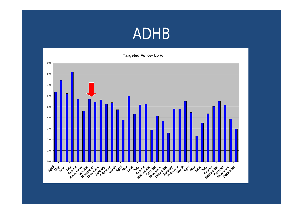### ADHB

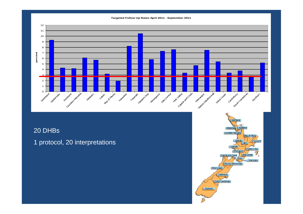

#### 20 DHBs

1 protocol, 20 interpretations

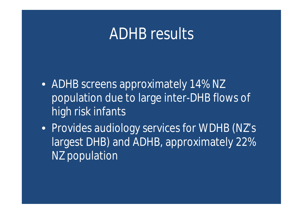## ADHB results

- ADHB screens approximately 14% NZ population due to large inter-DHB flows of high risk infants
- Provides audiology services for WDHB (NZ's largest DHB) and ADHB, approximately 22% NZ population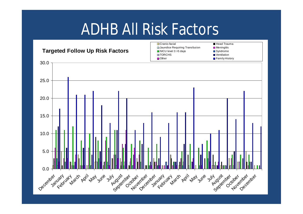# ADHB All Risk Factors

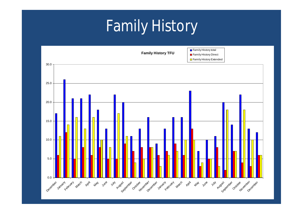# Family History

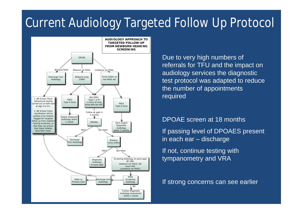#### Current Audiology Targeted Follow Up Protocol



Due to very high numbers of referrals for TFU and the impact on audiology services the diagnostic test protocol was adapted to reduce the number of appointments required

#### DPOAE screen at 18 months

If passing level of DPOAES present in each ear – discharge

If not, continue testing with tympanometry and VRA

If strong concerns can see earlier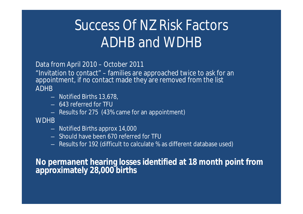# Success Of NZ Risk Factors ADHB and WDHB

Data from April 2010 – October 2011

"Invitation to contact" – families are approached twice to ask for an appointment, if no contact made they are removed from the list ADHB

- Notified Births 13,678,
- 643 referred for TFU
- Results for 275 (43% came for an appointment)

**WDHB** 

- Notified Births approx 14,000
- Should have been 670 referred for TFU
- Results for 192 (difficult to calculate % as different database used)

**No permanent hearing losses identified at 18 month point from approximately 28,000 births**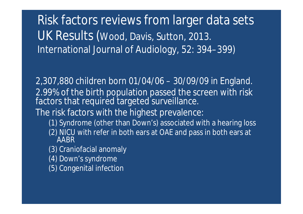Risk factors reviews from larger data sets UK Results (Wood, Davis, Sutton, 2013. International Journal of Audiology, 52: 394–399)

2,307,880 children born 01/04/06 – 30/09/09 in England. 2.99% of the birth population passed the screen with risk factors that required targeted surveillance. The risk factors with the highest prevalence:

- (1) Syndrome (other than Down's) associated with a hearing loss
- (2) NICU with refer in both ears at OAE and pass in both ears at AABR
- (3) Craniofacial anomaly
- (4) Down's syndrome
- (5) Congenital infection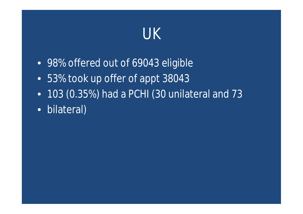

- 98% offered out of 69043 eligible
- 53% took up offer of appt 38043
- 103 (0.35%) had a PCHI (30 unilateral and 73
- bilateral)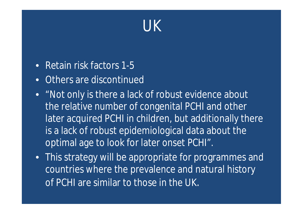# UK

- Retain risk factors 1-5
- Others are discontinued
- "Not only is there a lack of robust evidence about the relative number of congenital PCHI and other later acquired PCHI in children, but additionally there is a lack of robust epidemiological data about the optimal age to look for later onset PCHI".
- This strategy will be appropriate for programmes and countries where the prevalence and natural history of PCHI are similar to those in the UK.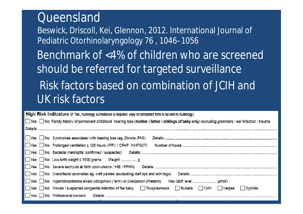#### **Oueensland**

Beswick, Driscoll, Kei, Glennon, 2012. International Journal of Pediatric Otorhinolaryngology 76 , 1046–1056 Benchmark of <4% of children who are screened should be referred for targeted surveillance Risk factors based on combination of JCIH and UK risk factors

|  | High Risk Indicators (If 'Yes', Audiology surveillance is required: copy of completed form to be sent to Audiology) |  |
|--|---------------------------------------------------------------------------------------------------------------------|--|
|--|---------------------------------------------------------------------------------------------------------------------|--|

|          |  |  | The Family history of permanent childhcod hearing loss (mother / father / siblings of baby only) excluding grommets / ear infection / trauma |  |  |  |
|----------|--|--|----------------------------------------------------------------------------------------------------------------------------------------------|--|--|--|
| Details: |  |  |                                                                                                                                              |  |  |  |

|  | Yes No Syndromes associated with hearing loss (eg. Downs, FAS)                                  |
|--|-------------------------------------------------------------------------------------------------|
|  | ■ Yes No Prolonged ventilation ≥ 120 hours (IPPV / CPAP / HHFNCT)                               |
|  | Thes No Bacterial meningitis (confirmed / suspected) Details: 2000 Details:                     |
|  |                                                                                                 |
|  | Yes No Severe asphyxia at birth (convulsions / HIE / PPHN)<br>Details:                          |
|  | Yes No Craniofacial anomalies eg. cleft palates (excluding deft lips and skin tags)<br>Details: |
|  | Tes No Hyperbilirubinemia levels ≥450µmol/I (Term) or ≥340µmol/I (Preterm)                      |
|  | Toxoplasmosis Rubella CMV Herpes<br>Syphilis                                                    |
|  | Yes No Professional concern<br>Details:                                                         |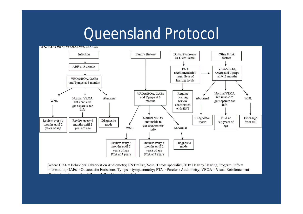## **Queensland Protocol**



[where BOA = Behavioral Observation Audiometry; ENT = Ear, Nose, Throat specialist; HH= Healthy Hearing Program; info = information; OAEs = Otoacoustic Emissions; Tymps = tympanometry;  $PTA =$  Puretone Audiometry;  $VROA =$  Visual Reinforcement  $O$ becounting Audienstry: WAII - Within Manual I in its  $1$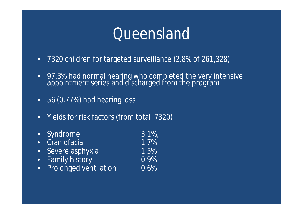## Queensland

- 7320 children for targeted surveillance (2.8% of 261,328)
- 97.3% had normal hearing who completed the very intensive appointment series and discharged from the program
- 56 (0.77%) had hearing loss
- Yields for risk factors (from total 7320)
- Syndrome 3.1%,
- Craniofacial 1.7%
- Severe asphyxia 1.5%
- Family history
- Prolonged ventilation 0.6%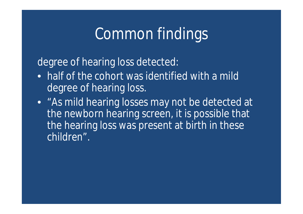# Common findings

degree of hearing loss detected:

- half of the cohort was identified with a mild degree of hearing loss.
- "As mild hearing losses may not be detected at the newborn hearing screen, it is possible that the hearing loss was present at birth in these children".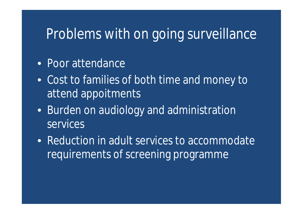#### Problems with on going surveillance

- Poor attendance
- Cost to families of both time and money to attend appoitments
- Burden on audiology and administration services
- Reduction in adult services to accommodate requirements of screening programme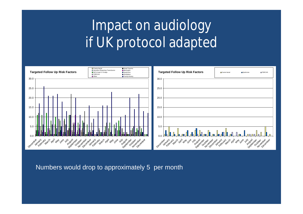# Impact on audiology if UK protocol adapted



Numbers would drop to approximately 5 per month